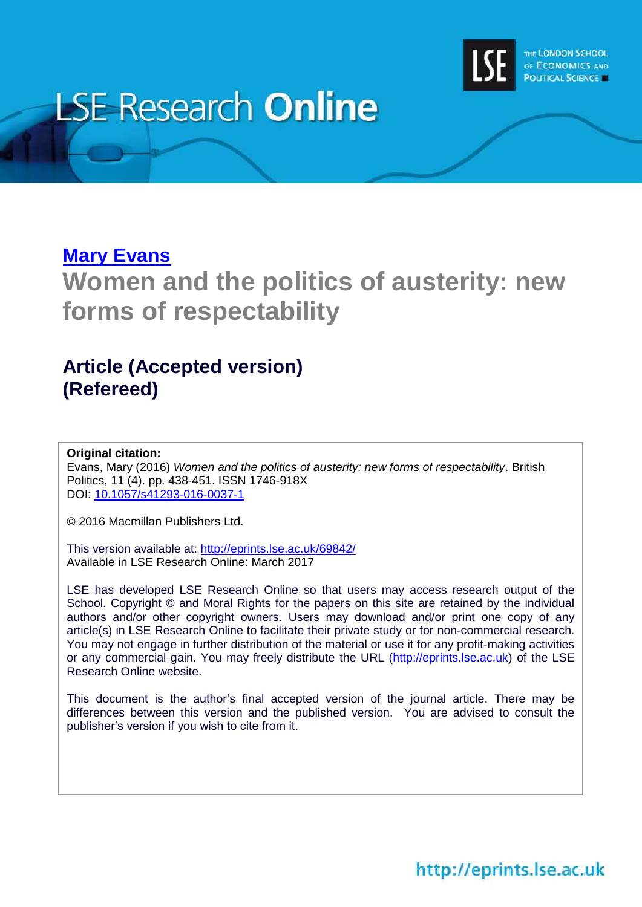

# **LSE Research Online**

# **Mary [Evans](http://www.lse.ac.uk/researchAndExpertise/Experts/profile.aspx?KeyValue=m.s.evans@lse.ac.uk)**

**Women and the politics of austerity: new forms of respectability**

# **Article (Accepted version) (Refereed)**

# **Original citation:**

Evans, Mary (2016) *Women and the politics of austerity: new forms of respectability*. British Politics, 11 (4). pp. 438-451. ISSN 1746-918X DOI: [10.1057/s41293-016-0037-1](http://dx.doi.org/10.1057/s41293-016-0037-1)

© 2016 Macmillan Publishers Ltd.

This version available at:<http://eprints.lse.ac.uk/69842/> Available in LSE Research Online: March 2017

LSE has developed LSE Research Online so that users may access research output of the School. Copyright © and Moral Rights for the papers on this site are retained by the individual authors and/or other copyright owners. Users may download and/or print one copy of any article(s) in LSE Research Online to facilitate their private study or for non-commercial research. You may not engage in further distribution of the material or use it for any profit-making activities or any commercial gain. You may freely distribute the URL (http://eprints.lse.ac.uk) of the LSE Research Online website.

This document is the author's final accepted version of the journal article. There may be differences between this version and the published version. You are advised to consult the publisher's version if you wish to cite from it.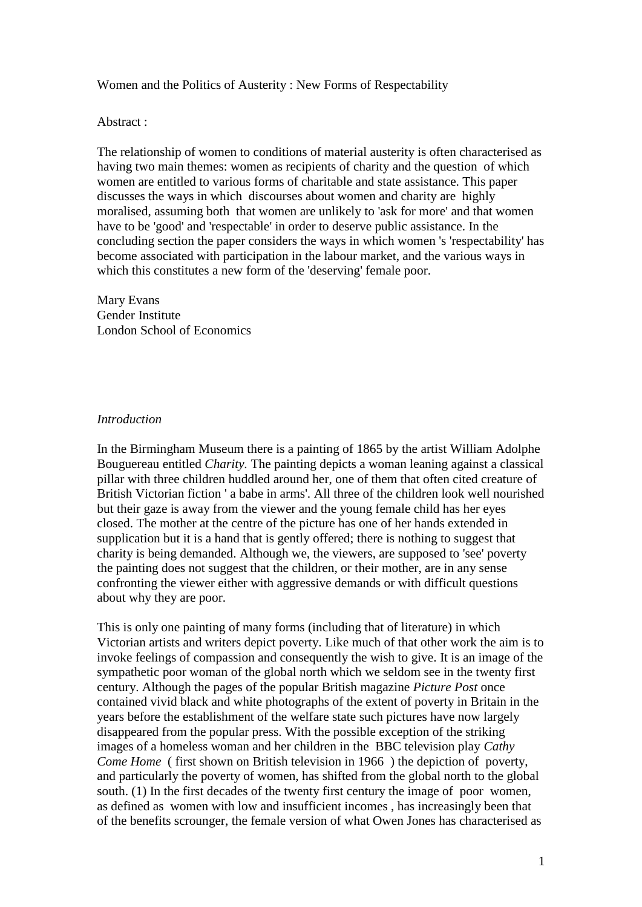Women and the Politics of Austerity : New Forms of Respectability

Abstract :

The relationship of women to conditions of material austerity is often characterised as having two main themes: women as recipients of charity and the question of which women are entitled to various forms of charitable and state assistance. This paper discusses the ways in which discourses about women and charity are highly moralised, assuming both that women are unlikely to 'ask for more' and that women have to be 'good' and 'respectable' in order to deserve public assistance. In the concluding section the paper considers the ways in which women 's 'respectability' has become associated with participation in the labour market, and the various ways in which this constitutes a new form of the 'deserving' female poor.

Mary Evans Gender Institute London School of Economics

#### *Introduction*

In the Birmingham Museum there is a painting of 1865 by the artist William Adolphe Bouguereau entitled *Charity.* The painting depicts a woman leaning against a classical pillar with three children huddled around her, one of them that often cited creature of British Victorian fiction ' a babe in arms'. All three of the children look well nourished but their gaze is away from the viewer and the young female child has her eyes closed. The mother at the centre of the picture has one of her hands extended in supplication but it is a hand that is gently offered; there is nothing to suggest that charity is being demanded. Although we, the viewers, are supposed to 'see' poverty the painting does not suggest that the children, or their mother, are in any sense confronting the viewer either with aggressive demands or with difficult questions about why they are poor.

This is only one painting of many forms (including that of literature) in which Victorian artists and writers depict poverty. Like much of that other work the aim is to invoke feelings of compassion and consequently the wish to give. It is an image of the sympathetic poor woman of the global north which we seldom see in the twenty first century. Although the pages of the popular British magazine *Picture Post* once contained vivid black and white photographs of the extent of poverty in Britain in the years before the establishment of the welfare state such pictures have now largely disappeared from the popular press. With the possible exception of the striking images of a homeless woman and her children in the BBC television play *Cathy Come Home* ( first shown on British television in 1966 ) the depiction of poverty, and particularly the poverty of women, has shifted from the global north to the global south. (1) In the first decades of the twenty first century the image of poor women, as defined as women with low and insufficient incomes , has increasingly been that of the benefits scrounger, the female version of what Owen Jones has characterised as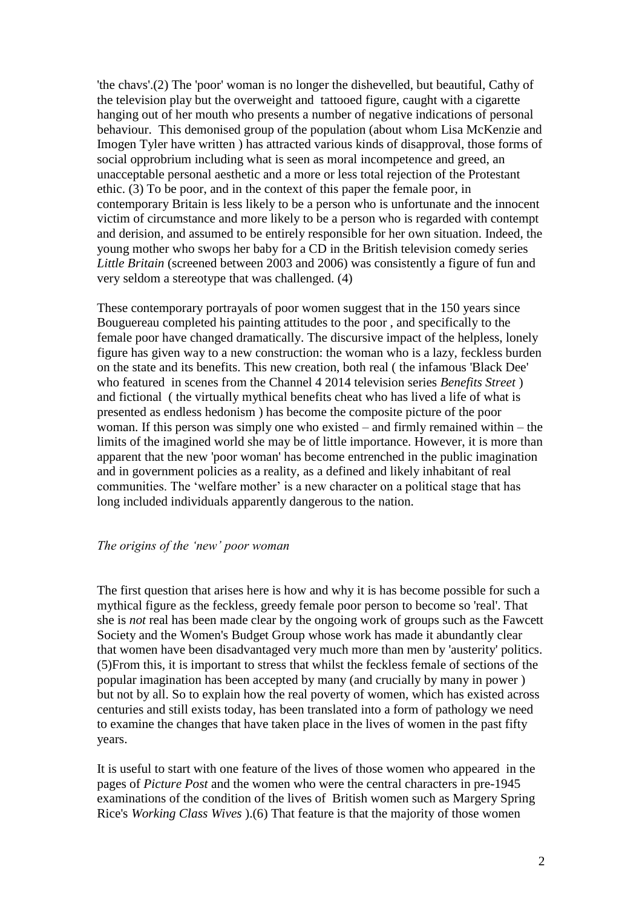'the chavs'.(2) The 'poor' woman is no longer the dishevelled, but beautiful, Cathy of the television play but the overweight and tattooed figure, caught with a cigarette hanging out of her mouth who presents a number of negative indications of personal behaviour. This demonised group of the population (about whom Lisa McKenzie and Imogen Tyler have written ) has attracted various kinds of disapproval, those forms of social opprobrium including what is seen as moral incompetence and greed, an unacceptable personal aesthetic and a more or less total rejection of the Protestant ethic. (3) To be poor, and in the context of this paper the female poor, in contemporary Britain is less likely to be a person who is unfortunate and the innocent victim of circumstance and more likely to be a person who is regarded with contempt and derision, and assumed to be entirely responsible for her own situation. Indeed, the young mother who swops her baby for a CD in the British television comedy series *Little Britain* (screened between 2003 and 2006) was consistently a figure of fun and very seldom a stereotype that was challenged. (4)

These contemporary portrayals of poor women suggest that in the 150 years since Bouguereau completed his painting attitudes to the poor , and specifically to the female poor have changed dramatically. The discursive impact of the helpless, lonely figure has given way to a new construction: the woman who is a lazy, feckless burden on the state and its benefits. This new creation, both real ( the infamous 'Black Dee' who featured in scenes from the Channel 4 2014 television series *Benefits Street* ) and fictional ( the virtually mythical benefits cheat who has lived a life of what is presented as endless hedonism ) has become the composite picture of the poor woman. If this person was simply one who existed – and firmly remained within – the limits of the imagined world she may be of little importance. However, it is more than apparent that the new 'poor woman' has become entrenched in the public imagination and in government policies as a reality, as a defined and likely inhabitant of real communities. The 'welfare mother' is a new character on a political stage that has long included individuals apparently dangerous to the nation.

#### *The origins of the 'new' poor woman*

The first question that arises here is how and why it is has become possible for such a mythical figure as the feckless, greedy female poor person to become so 'real'. That she is *not* real has been made clear by the ongoing work of groups such as the Fawcett Society and the Women's Budget Group whose work has made it abundantly clear that women have been disadvantaged very much more than men by 'austerity' politics. (5)From this, it is important to stress that whilst the feckless female of sections of the popular imagination has been accepted by many (and crucially by many in power ) but not by all. So to explain how the real poverty of women, which has existed across centuries and still exists today, has been translated into a form of pathology we need to examine the changes that have taken place in the lives of women in the past fifty years.

It is useful to start with one feature of the lives of those women who appeared in the pages of *Picture Post* and the women who were the central characters in pre-1945 examinations of the condition of the lives of British women such as Margery Spring Rice's *Working Class Wives* ).(6) That feature is that the majority of those women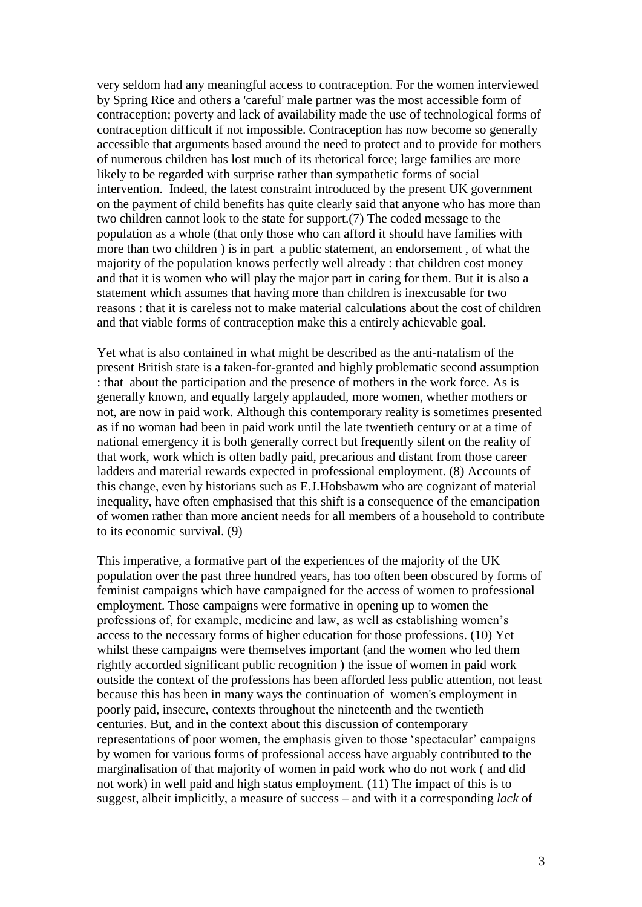very seldom had any meaningful access to contraception. For the women interviewed by Spring Rice and others a 'careful' male partner was the most accessible form of contraception; poverty and lack of availability made the use of technological forms of contraception difficult if not impossible. Contraception has now become so generally accessible that arguments based around the need to protect and to provide for mothers of numerous children has lost much of its rhetorical force; large families are more likely to be regarded with surprise rather than sympathetic forms of social intervention. Indeed, the latest constraint introduced by the present UK government on the payment of child benefits has quite clearly said that anyone who has more than two children cannot look to the state for support.(7) The coded message to the population as a whole (that only those who can afford it should have families with more than two children ) is in part a public statement, an endorsement , of what the majority of the population knows perfectly well already : that children cost money and that it is women who will play the major part in caring for them. But it is also a statement which assumes that having more than children is inexcusable for two reasons : that it is careless not to make material calculations about the cost of children and that viable forms of contraception make this a entirely achievable goal.

Yet what is also contained in what might be described as the anti-natalism of the present British state is a taken-for-granted and highly problematic second assumption : that about the participation and the presence of mothers in the work force. As is generally known, and equally largely applauded, more women, whether mothers or not, are now in paid work. Although this contemporary reality is sometimes presented as if no woman had been in paid work until the late twentieth century or at a time of national emergency it is both generally correct but frequently silent on the reality of that work, work which is often badly paid, precarious and distant from those career ladders and material rewards expected in professional employment. (8) Accounts of this change, even by historians such as E.J.Hobsbawm who are cognizant of material inequality, have often emphasised that this shift is a consequence of the emancipation of women rather than more ancient needs for all members of a household to contribute to its economic survival. (9)

This imperative, a formative part of the experiences of the majority of the UK population over the past three hundred years, has too often been obscured by forms of feminist campaigns which have campaigned for the access of women to professional employment. Those campaigns were formative in opening up to women the professions of, for example, medicine and law, as well as establishing women's access to the necessary forms of higher education for those professions. (10) Yet whilst these campaigns were themselves important (and the women who led them rightly accorded significant public recognition ) the issue of women in paid work outside the context of the professions has been afforded less public attention, not least because this has been in many ways the continuation of women's employment in poorly paid, insecure, contexts throughout the nineteenth and the twentieth centuries. But, and in the context about this discussion of contemporary representations of poor women, the emphasis given to those 'spectacular' campaigns by women for various forms of professional access have arguably contributed to the marginalisation of that majority of women in paid work who do not work ( and did not work) in well paid and high status employment. (11) The impact of this is to suggest, albeit implicitly, a measure of success – and with it a corresponding *lack* of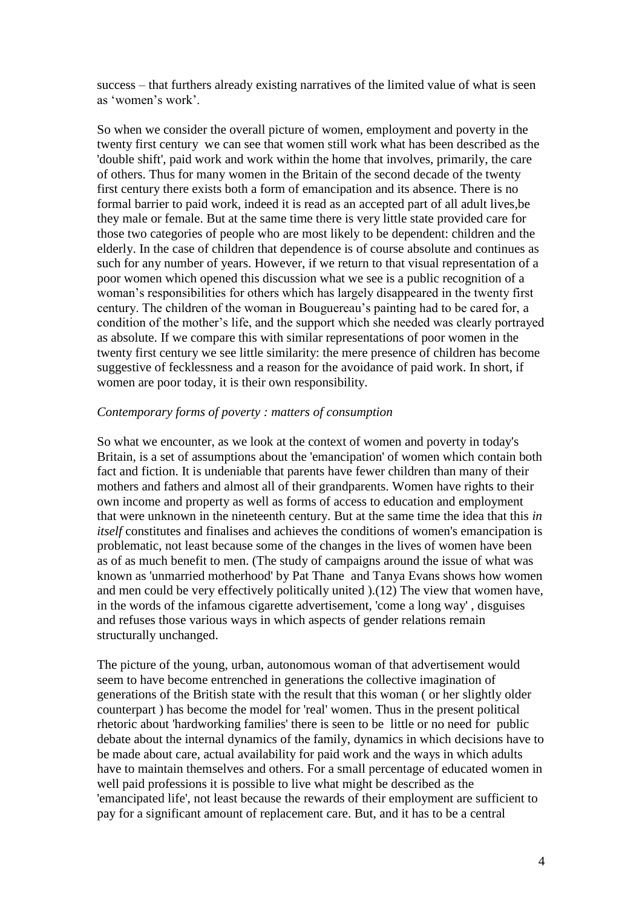success – that furthers already existing narratives of the limited value of what is seen as 'women's work'.

So when we consider the overall picture of women, employment and poverty in the twenty first century we can see that women still work what has been described as the 'double shift', paid work and work within the home that involves, primarily, the care of others. Thus for many women in the Britain of the second decade of the twenty first century there exists both a form of emancipation and its absence. There is no formal barrier to paid work, indeed it is read as an accepted part of all adult lives,be they male or female. But at the same time there is very little state provided care for those two categories of people who are most likely to be dependent: children and the elderly. In the case of children that dependence is of course absolute and continues as such for any number of years. However, if we return to that visual representation of a poor women which opened this discussion what we see is a public recognition of a woman's responsibilities for others which has largely disappeared in the twenty first century. The children of the woman in Bouguereau's painting had to be cared for, a condition of the mother's life, and the support which she needed was clearly portrayed as absolute. If we compare this with similar representations of poor women in the twenty first century we see little similarity: the mere presence of children has become suggestive of fecklessness and a reason for the avoidance of paid work. In short, if women are poor today, it is their own responsibility.

### *Contemporary forms of poverty : matters of consumption*

So what we encounter, as we look at the context of women and poverty in today's Britain, is a set of assumptions about the 'emancipation' of women which contain both fact and fiction. It is undeniable that parents have fewer children than many of their mothers and fathers and almost all of their grandparents. Women have rights to their own income and property as well as forms of access to education and employment that were unknown in the nineteenth century. But at the same time the idea that this *in itself* constitutes and finalises and achieves the conditions of women's emancipation is problematic, not least because some of the changes in the lives of women have been as of as much benefit to men. (The study of campaigns around the issue of what was known as 'unmarried motherhood' by Pat Thane and Tanya Evans shows how women and men could be very effectively politically united ).(12) The view that women have, in the words of the infamous cigarette advertisement, 'come a long way' , disguises and refuses those various ways in which aspects of gender relations remain structurally unchanged.

The picture of the young, urban, autonomous woman of that advertisement would seem to have become entrenched in generations the collective imagination of generations of the British state with the result that this woman ( or her slightly older counterpart ) has become the model for 'real' women. Thus in the present political rhetoric about 'hardworking families' there is seen to be little or no need for public debate about the internal dynamics of the family, dynamics in which decisions have to be made about care, actual availability for paid work and the ways in which adults have to maintain themselves and others. For a small percentage of educated women in well paid professions it is possible to live what might be described as the 'emancipated life', not least because the rewards of their employment are sufficient to pay for a significant amount of replacement care. But, and it has to be a central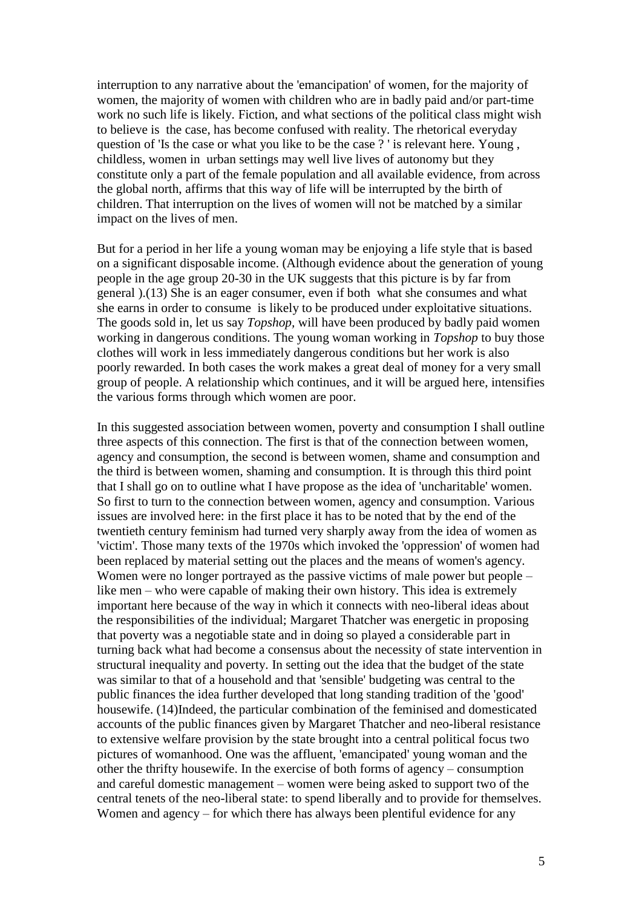interruption to any narrative about the 'emancipation' of women, for the majority of women, the majority of women with children who are in badly paid and/or part-time work no such life is likely. Fiction, and what sections of the political class might wish to believe is the case, has become confused with reality. The rhetorical everyday question of 'Is the case or what you like to be the case ? ' is relevant here. Young , childless, women in urban settings may well live lives of autonomy but they constitute only a part of the female population and all available evidence, from across the global north, affirms that this way of life will be interrupted by the birth of children. That interruption on the lives of women will not be matched by a similar impact on the lives of men.

But for a period in her life a young woman may be enjoying a life style that is based on a significant disposable income. (Although evidence about the generation of young people in the age group 20-30 in the UK suggests that this picture is by far from general ).(13) She is an eager consumer, even if both what she consumes and what she earns in order to consume is likely to be produced under exploitative situations. The goods sold in, let us say *Topshop,* will have been produced by badly paid women working in dangerous conditions. The young woman working in *Topshop* to buy those clothes will work in less immediately dangerous conditions but her work is also poorly rewarded. In both cases the work makes a great deal of money for a very small group of people. A relationship which continues, and it will be argued here, intensifies the various forms through which women are poor.

In this suggested association between women, poverty and consumption I shall outline three aspects of this connection. The first is that of the connection between women, agency and consumption, the second is between women, shame and consumption and the third is between women, shaming and consumption. It is through this third point that I shall go on to outline what I have propose as the idea of 'uncharitable' women. So first to turn to the connection between women, agency and consumption. Various issues are involved here: in the first place it has to be noted that by the end of the twentieth century feminism had turned very sharply away from the idea of women as 'victim'. Those many texts of the 1970s which invoked the 'oppression' of women had been replaced by material setting out the places and the means of women's agency. Women were no longer portrayed as the passive victims of male power but people – like men – who were capable of making their own history. This idea is extremely important here because of the way in which it connects with neo-liberal ideas about the responsibilities of the individual; Margaret Thatcher was energetic in proposing that poverty was a negotiable state and in doing so played a considerable part in turning back what had become a consensus about the necessity of state intervention in structural inequality and poverty. In setting out the idea that the budget of the state was similar to that of a household and that 'sensible' budgeting was central to the public finances the idea further developed that long standing tradition of the 'good' housewife. (14)Indeed, the particular combination of the feminised and domesticated accounts of the public finances given by Margaret Thatcher and neo-liberal resistance to extensive welfare provision by the state brought into a central political focus two pictures of womanhood. One was the affluent, 'emancipated' young woman and the other the thrifty housewife. In the exercise of both forms of agency – consumption and careful domestic management – women were being asked to support two of the central tenets of the neo-liberal state: to spend liberally and to provide for themselves. Women and agency – for which there has always been plentiful evidence for any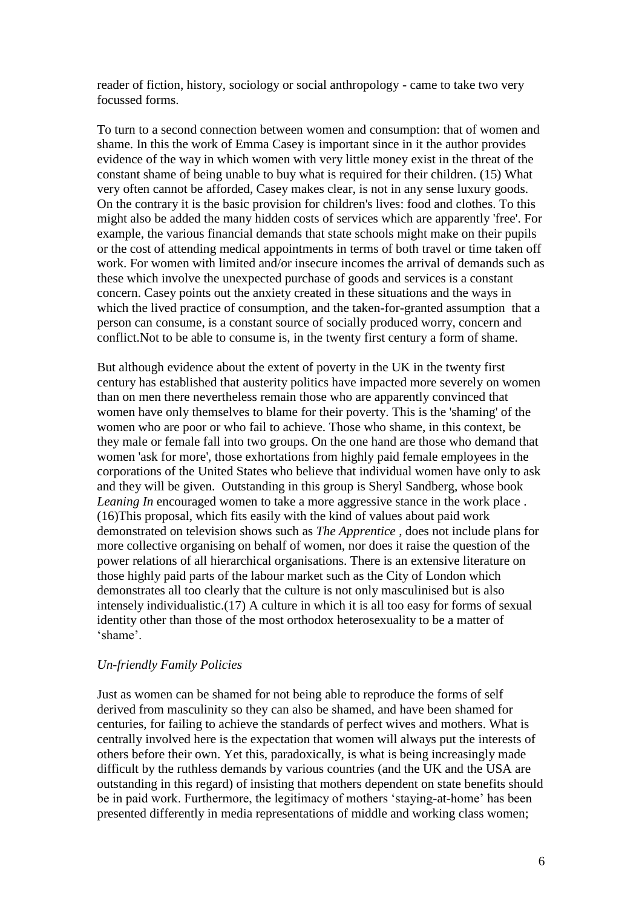reader of fiction, history, sociology or social anthropology - came to take two very focussed forms.

To turn to a second connection between women and consumption: that of women and shame. In this the work of Emma Casey is important since in it the author provides evidence of the way in which women with very little money exist in the threat of the constant shame of being unable to buy what is required for their children. (15) What very often cannot be afforded, Casey makes clear, is not in any sense luxury goods. On the contrary it is the basic provision for children's lives: food and clothes. To this might also be added the many hidden costs of services which are apparently 'free'. For example, the various financial demands that state schools might make on their pupils or the cost of attending medical appointments in terms of both travel or time taken off work. For women with limited and/or insecure incomes the arrival of demands such as these which involve the unexpected purchase of goods and services is a constant concern. Casey points out the anxiety created in these situations and the ways in which the lived practice of consumption, and the taken-for-granted assumption that a person can consume, is a constant source of socially produced worry, concern and conflict.Not to be able to consume is, in the twenty first century a form of shame.

But although evidence about the extent of poverty in the UK in the twenty first century has established that austerity politics have impacted more severely on women than on men there nevertheless remain those who are apparently convinced that women have only themselves to blame for their poverty. This is the 'shaming' of the women who are poor or who fail to achieve. Those who shame, in this context, be they male or female fall into two groups. On the one hand are those who demand that women 'ask for more', those exhortations from highly paid female employees in the corporations of the United States who believe that individual women have only to ask and they will be given. Outstanding in this group is Sheryl Sandberg, whose book *Leaning In* encouraged women to take a more aggressive stance in the work place. (16)This proposal, which fits easily with the kind of values about paid work demonstrated on television shows such as *The Apprentice* , does not include plans for more collective organising on behalf of women, nor does it raise the question of the power relations of all hierarchical organisations. There is an extensive literature on those highly paid parts of the labour market such as the City of London which demonstrates all too clearly that the culture is not only masculinised but is also intensely individualistic.(17) A culture in which it is all too easy for forms of sexual identity other than those of the most orthodox heterosexuality to be a matter of 'shame'.

## *Un-friendly Family Policies*

Just as women can be shamed for not being able to reproduce the forms of self derived from masculinity so they can also be shamed, and have been shamed for centuries, for failing to achieve the standards of perfect wives and mothers. What is centrally involved here is the expectation that women will always put the interests of others before their own. Yet this, paradoxically, is what is being increasingly made difficult by the ruthless demands by various countries (and the UK and the USA are outstanding in this regard) of insisting that mothers dependent on state benefits should be in paid work. Furthermore, the legitimacy of mothers 'staying-at-home' has been presented differently in media representations of middle and working class women;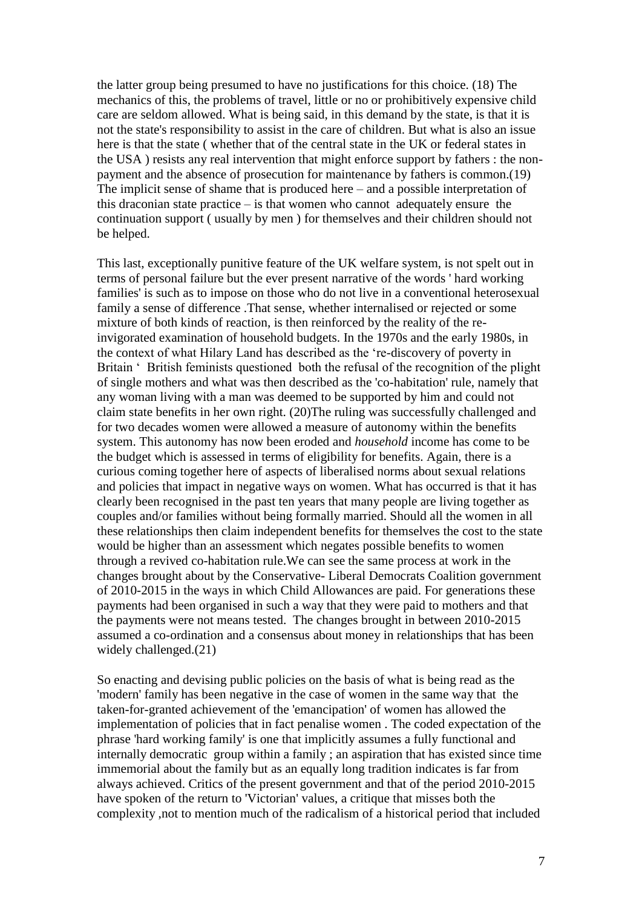the latter group being presumed to have no justifications for this choice. (18) The mechanics of this, the problems of travel, little or no or prohibitively expensive child care are seldom allowed. What is being said, in this demand by the state, is that it is not the state's responsibility to assist in the care of children. But what is also an issue here is that the state ( whether that of the central state in the UK or federal states in the USA ) resists any real intervention that might enforce support by fathers : the nonpayment and the absence of prosecution for maintenance by fathers is common.(19) The implicit sense of shame that is produced here – and a possible interpretation of this draconian state practice – is that women who cannot adequately ensure the continuation support ( usually by men ) for themselves and their children should not be helped.

This last, exceptionally punitive feature of the UK welfare system, is not spelt out in terms of personal failure but the ever present narrative of the words ' hard working families' is such as to impose on those who do not live in a conventional heterosexual family a sense of difference .That sense, whether internalised or rejected or some mixture of both kinds of reaction, is then reinforced by the reality of the reinvigorated examination of household budgets. In the 1970s and the early 1980s, in the context of what Hilary Land has described as the 're-discovery of poverty in Britain ' British feminists questioned both the refusal of the recognition of the plight of single mothers and what was then described as the 'co-habitation' rule, namely that any woman living with a man was deemed to be supported by him and could not claim state benefits in her own right. (20)The ruling was successfully challenged and for two decades women were allowed a measure of autonomy within the benefits system. This autonomy has now been eroded and *household* income has come to be the budget which is assessed in terms of eligibility for benefits. Again, there is a curious coming together here of aspects of liberalised norms about sexual relations and policies that impact in negative ways on women. What has occurred is that it has clearly been recognised in the past ten years that many people are living together as couples and/or families without being formally married. Should all the women in all these relationships then claim independent benefits for themselves the cost to the state would be higher than an assessment which negates possible benefits to women through a revived co-habitation rule.We can see the same process at work in the changes brought about by the Conservative- Liberal Democrats Coalition government of 2010-2015 in the ways in which Child Allowances are paid. For generations these payments had been organised in such a way that they were paid to mothers and that the payments were not means tested. The changes brought in between 2010-2015 assumed a co-ordination and a consensus about money in relationships that has been widely challenged.(21)

So enacting and devising public policies on the basis of what is being read as the 'modern' family has been negative in the case of women in the same way that the taken-for-granted achievement of the 'emancipation' of women has allowed the implementation of policies that in fact penalise women . The coded expectation of the phrase 'hard working family' is one that implicitly assumes a fully functional and internally democratic group within a family ; an aspiration that has existed since time immemorial about the family but as an equally long tradition indicates is far from always achieved. Critics of the present government and that of the period 2010-2015 have spoken of the return to 'Victorian' values, a critique that misses both the complexity ,not to mention much of the radicalism of a historical period that included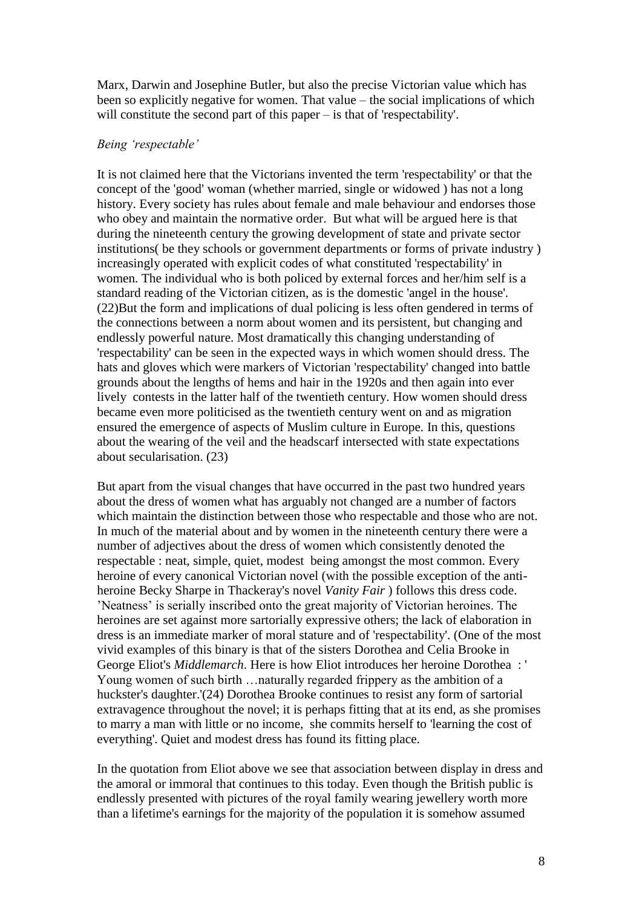Marx, Darwin and Josephine Butler, but also the precise Victorian value which has been so explicitly negative for women. That value – the social implications of which will constitute the second part of this paper – is that of 'respectability'.

## *Being 'respectable'*

It is not claimed here that the Victorians invented the term 'respectability' or that the concept of the 'good' woman (whether married, single or widowed ) has not a long history. Every society has rules about female and male behaviour and endorses those who obey and maintain the normative order. But what will be argued here is that during the nineteenth century the growing development of state and private sector institutions( be they schools or government departments or forms of private industry ) increasingly operated with explicit codes of what constituted 'respectability' in women. The individual who is both policed by external forces and her/him self is a standard reading of the Victorian citizen, as is the domestic 'angel in the house'. (22)But the form and implications of dual policing is less often gendered in terms of the connections between a norm about women and its persistent, but changing and endlessly powerful nature. Most dramatically this changing understanding of 'respectability' can be seen in the expected ways in which women should dress. The hats and gloves which were markers of Victorian 'respectability' changed into battle grounds about the lengths of hems and hair in the 1920s and then again into ever lively contests in the latter half of the twentieth century. How women should dress became even more politicised as the twentieth century went on and as migration ensured the emergence of aspects of Muslim culture in Europe. In this, questions about the wearing of the veil and the headscarf intersected with state expectations about secularisation. (23)

But apart from the visual changes that have occurred in the past two hundred years about the dress of women what has arguably not changed are a number of factors which maintain the distinction between those who respectable and those who are not. In much of the material about and by women in the nineteenth century there were a number of adjectives about the dress of women which consistently denoted the respectable : neat, simple, quiet, modest being amongst the most common. Every heroine of every canonical Victorian novel (with the possible exception of the antiheroine Becky Sharpe in Thackeray's novel *Vanity Fair* ) follows this dress code. 'Neatness' is serially inscribed onto the great majority of Victorian heroines. The heroines are set against more sartorially expressive others; the lack of elaboration in dress is an immediate marker of moral stature and of 'respectability'. (One of the most vivid examples of this binary is that of the sisters Dorothea and Celia Brooke in George Eliot's *Middlemarch*. Here is how Eliot introduces her heroine Dorothea : ' Young women of such birth …naturally regarded frippery as the ambition of a huckster's daughter.'(24) Dorothea Brooke continues to resist any form of sartorial extravagence throughout the novel; it is perhaps fitting that at its end, as she promises to marry a man with little or no income, she commits herself to 'learning the cost of everything'. Quiet and modest dress has found its fitting place.

In the quotation from Eliot above we see that association between display in dress and the amoral or immoral that continues to this today. Even though the British public is endlessly presented with pictures of the royal family wearing jewellery worth more than a lifetime's earnings for the majority of the population it is somehow assumed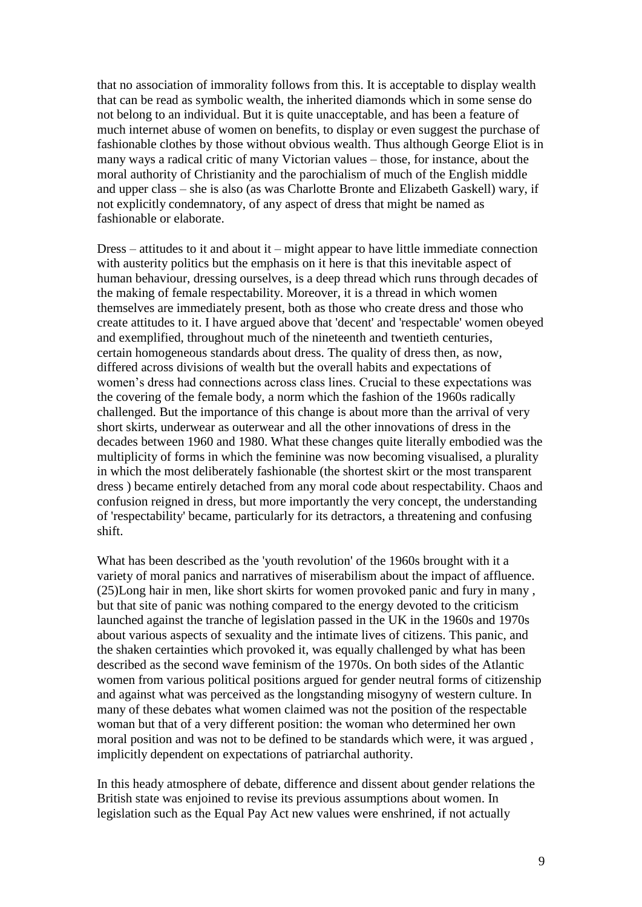that no association of immorality follows from this. It is acceptable to display wealth that can be read as symbolic wealth, the inherited diamonds which in some sense do not belong to an individual. But it is quite unacceptable, and has been a feature of much internet abuse of women on benefits, to display or even suggest the purchase of fashionable clothes by those without obvious wealth. Thus although George Eliot is in many ways a radical critic of many Victorian values – those, for instance, about the moral authority of Christianity and the parochialism of much of the English middle and upper class – she is also (as was Charlotte Bronte and Elizabeth Gaskell) wary, if not explicitly condemnatory, of any aspect of dress that might be named as fashionable or elaborate.

Dress – attitudes to it and about it – might appear to have little immediate connection with austerity politics but the emphasis on it here is that this inevitable aspect of human behaviour, dressing ourselves, is a deep thread which runs through decades of the making of female respectability. Moreover, it is a thread in which women themselves are immediately present, both as those who create dress and those who create attitudes to it. I have argued above that 'decent' and 'respectable' women obeyed and exemplified, throughout much of the nineteenth and twentieth centuries, certain homogeneous standards about dress. The quality of dress then, as now, differed across divisions of wealth but the overall habits and expectations of women's dress had connections across class lines. Crucial to these expectations was the covering of the female body, a norm which the fashion of the 1960s radically challenged. But the importance of this change is about more than the arrival of very short skirts, underwear as outerwear and all the other innovations of dress in the decades between 1960 and 1980. What these changes quite literally embodied was the multiplicity of forms in which the feminine was now becoming visualised, a plurality in which the most deliberately fashionable (the shortest skirt or the most transparent dress ) became entirely detached from any moral code about respectability. Chaos and confusion reigned in dress, but more importantly the very concept, the understanding of 'respectability' became, particularly for its detractors, a threatening and confusing shift.

What has been described as the 'youth revolution' of the 1960s brought with it a variety of moral panics and narratives of miserabilism about the impact of affluence. (25)Long hair in men, like short skirts for women provoked panic and fury in many , but that site of panic was nothing compared to the energy devoted to the criticism launched against the tranche of legislation passed in the UK in the 1960s and 1970s about various aspects of sexuality and the intimate lives of citizens. This panic, and the shaken certainties which provoked it, was equally challenged by what has been described as the second wave feminism of the 1970s. On both sides of the Atlantic women from various political positions argued for gender neutral forms of citizenship and against what was perceived as the longstanding misogyny of western culture. In many of these debates what women claimed was not the position of the respectable woman but that of a very different position: the woman who determined her own moral position and was not to be defined to be standards which were, it was argued , implicitly dependent on expectations of patriarchal authority.

In this heady atmosphere of debate, difference and dissent about gender relations the British state was enjoined to revise its previous assumptions about women. In legislation such as the Equal Pay Act new values were enshrined, if not actually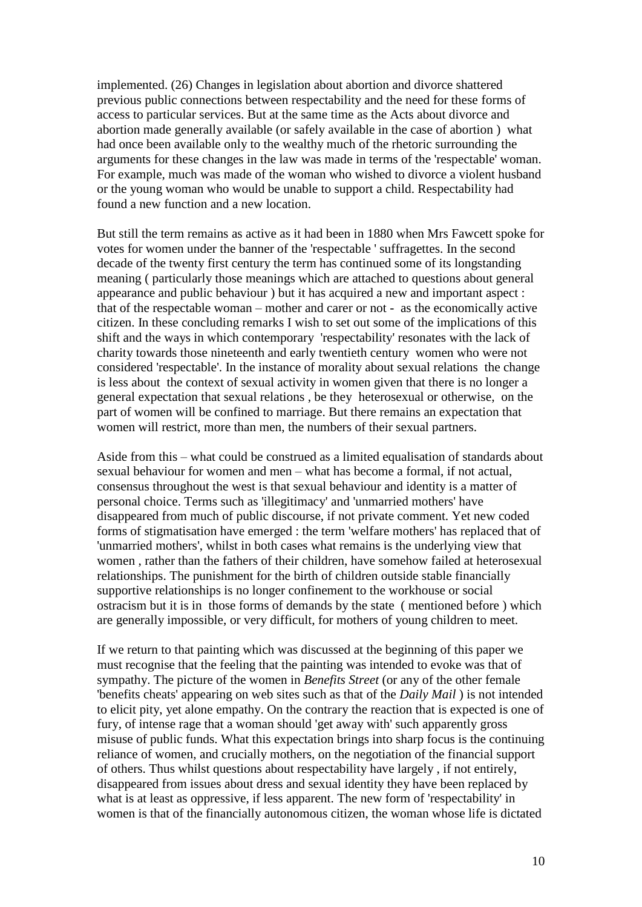implemented. (26) Changes in legislation about abortion and divorce shattered previous public connections between respectability and the need for these forms of access to particular services. But at the same time as the Acts about divorce and abortion made generally available (or safely available in the case of abortion ) what had once been available only to the wealthy much of the rhetoric surrounding the arguments for these changes in the law was made in terms of the 'respectable' woman. For example, much was made of the woman who wished to divorce a violent husband or the young woman who would be unable to support a child. Respectability had found a new function and a new location.

But still the term remains as active as it had been in 1880 when Mrs Fawcett spoke for votes for women under the banner of the 'respectable ' suffragettes. In the second decade of the twenty first century the term has continued some of its longstanding meaning ( particularly those meanings which are attached to questions about general appearance and public behaviour ) but it has acquired a new and important aspect : that of the respectable woman – mother and carer or not - as the economically active citizen. In these concluding remarks I wish to set out some of the implications of this shift and the ways in which contemporary 'respectability' resonates with the lack of charity towards those nineteenth and early twentieth century women who were not considered 'respectable'. In the instance of morality about sexual relations the change is less about the context of sexual activity in women given that there is no longer a general expectation that sexual relations , be they heterosexual or otherwise, on the part of women will be confined to marriage. But there remains an expectation that women will restrict, more than men, the numbers of their sexual partners.

Aside from this – what could be construed as a limited equalisation of standards about sexual behaviour for women and men – what has become a formal, if not actual, consensus throughout the west is that sexual behaviour and identity is a matter of personal choice. Terms such as 'illegitimacy' and 'unmarried mothers' have disappeared from much of public discourse, if not private comment. Yet new coded forms of stigmatisation have emerged : the term 'welfare mothers' has replaced that of 'unmarried mothers', whilst in both cases what remains is the underlying view that women , rather than the fathers of their children, have somehow failed at heterosexual relationships. The punishment for the birth of children outside stable financially supportive relationships is no longer confinement to the workhouse or social ostracism but it is in those forms of demands by the state ( mentioned before ) which are generally impossible, or very difficult, for mothers of young children to meet.

If we return to that painting which was discussed at the beginning of this paper we must recognise that the feeling that the painting was intended to evoke was that of sympathy. The picture of the women in *Benefits Street* (or any of the other female 'benefits cheats' appearing on web sites such as that of the *Daily Mail* ) is not intended to elicit pity, yet alone empathy. On the contrary the reaction that is expected is one of fury, of intense rage that a woman should 'get away with' such apparently gross misuse of public funds. What this expectation brings into sharp focus is the continuing reliance of women, and crucially mothers, on the negotiation of the financial support of others. Thus whilst questions about respectability have largely , if not entirely, disappeared from issues about dress and sexual identity they have been replaced by what is at least as oppressive, if less apparent. The new form of 'respectability' in women is that of the financially autonomous citizen, the woman whose life is dictated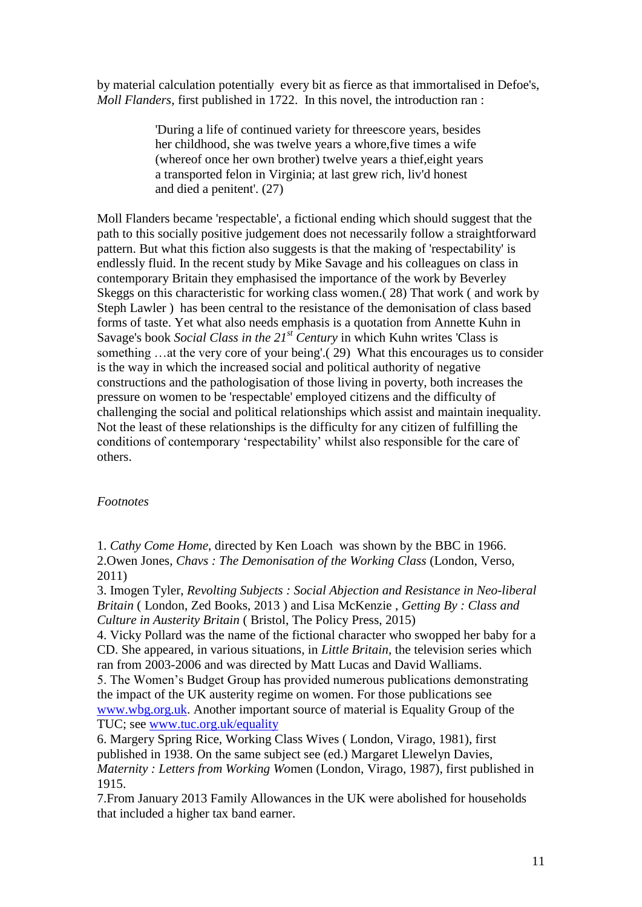by material calculation potentially every bit as fierce as that immortalised in Defoe's, *Moll Flanders*, first published in 1722. In this novel, the introduction ran :

> 'During a life of continued variety for threescore years, besides her childhood, she was twelve years a whore,five times a wife (whereof once her own brother) twelve years a thief,eight years a transported felon in Virginia; at last grew rich, liv'd honest and died a penitent'. (27)

Moll Flanders became 'respectable', a fictional ending which should suggest that the path to this socially positive judgement does not necessarily follow a straightforward pattern. But what this fiction also suggests is that the making of 'respectability' is endlessly fluid. In the recent study by Mike Savage and his colleagues on class in contemporary Britain they emphasised the importance of the work by Beverley Skeggs on this characteristic for working class women.( 28) That work ( and work by Steph Lawler ) has been central to the resistance of the demonisation of class based forms of taste. Yet what also needs emphasis is a quotation from Annette Kuhn in Savage's book *Social Class in the 21st Century* in which Kuhn writes 'Class is something …at the very core of your being'.( 29) What this encourages us to consider is the way in which the increased social and political authority of negative constructions and the pathologisation of those living in poverty, both increases the pressure on women to be 'respectable' employed citizens and the difficulty of challenging the social and political relationships which assist and maintain inequality. Not the least of these relationships is the difficulty for any citizen of fulfilling the conditions of contemporary 'respectability' whilst also responsible for the care of others.

## *Footnotes*

1. *Cathy Come Home*, directed by Ken Loach was shown by the BBC in 1966. 2.Owen Jones, *Chavs : The Demonisation of the Working Class* (London, Verso, 2011)

3. Imogen Tyler, *Revolting Subjects : Social Abjection and Resistance in Neo-liberal Britain* ( London, Zed Books, 2013 ) and Lisa McKenzie , *Getting By : Class and Culture in Austerity Britain* ( Bristol, The Policy Press, 2015)

4. Vicky Pollard was the name of the fictional character who swopped her baby for a CD. She appeared, in various situations, in *Little Britain*, the television series which ran from 2003-2006 and was directed by Matt Lucas and David Walliams.

5. The Women's Budget Group has provided numerous publications demonstrating the impact of the UK austerity regime on women. For those publications see [www.wbg.org.uk.](http://www.wbg.org.uk/) Another important source of material is Equality Group of the TUC; see [www.tuc.org.uk/equality](http://www.tuc.org.uk/equality)

6. Margery Spring Rice, Working Class Wives ( London, Virago, 1981), first published in 1938. On the same subject see (ed.) Margaret Llewelyn Davies, *Maternity : Letters from Working Wo*men (London, Virago, 1987), first published in 1915.

7.From January 2013 Family Allowances in the UK were abolished for households that included a higher tax band earner.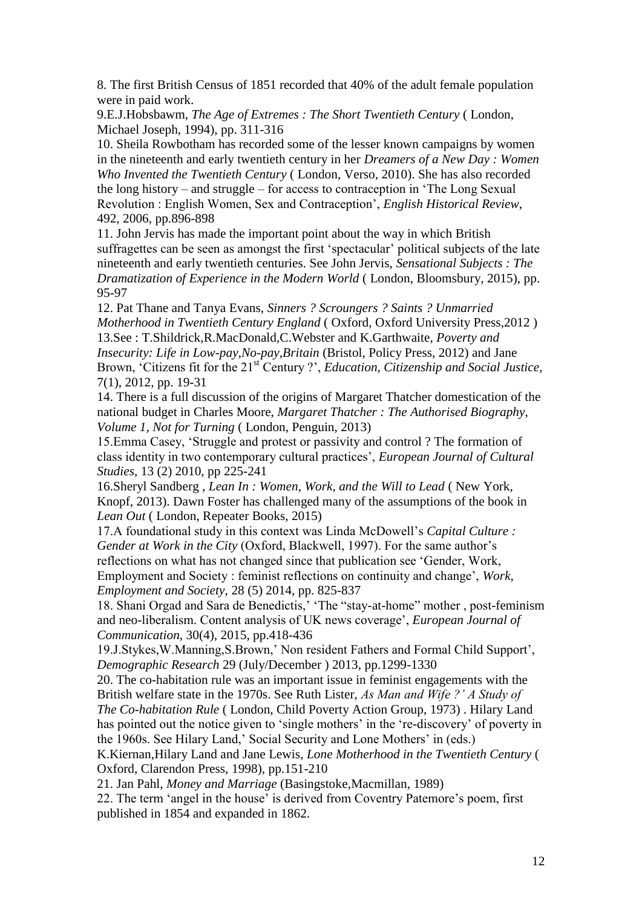8. The first British Census of 1851 recorded that 40% of the adult female population were in paid work.

9.E.J.Hobsbawm, *The Age of Extremes : The Short Twentieth Century* ( London, Michael Joseph, 1994), pp. 311-316

10. Sheila Rowbotham has recorded some of the lesser known campaigns by women in the nineteenth and early twentieth century in her *Dreamers of a New Day : Women Who Invented the Twentieth Century* ( London, Verso, 2010). She has also recorded the long history – and struggle – for access to contraception in 'The Long Sexual Revolution : English Women, Sex and Contraception', *English Historical Review*, 492, 2006, pp.896-898

11. John Jervis has made the important point about the way in which British suffragettes can be seen as amongst the first 'spectacular' political subjects of the late nineteenth and early twentieth centuries. See John Jervis, *Sensational Subjects : The Dramatization of Experience in the Modern World* ( London, Bloomsbury, 2015), pp. 95-97

12. Pat Thane and Tanya Evans, *Sinners ? Scroungers ? Saints ? Unmarried Motherhood in Twentieth Century England* ( Oxford, Oxford University Press,2012 ) 13.See : T.Shildrick,R.MacDonald,C.Webster and K.Garthwaite, *Poverty and Insecurity: Life in Low-pay,No-pay,Britain* (Bristol, Policy Press, 2012) and Jane Brown, 'Citizens fit for the 21<sup>st</sup> Century ?', *Education, Citizenship and Social Justice*, 7(1), 2012, pp. 19-31

14. There is a full discussion of the origins of Margaret Thatcher domestication of the national budget in Charles Moore, *Margaret Thatcher : The Authorised Biography, Volume 1, Not for Turning* ( London, Penguin, 2013)

15.Emma Casey, 'Struggle and protest or passivity and control ? The formation of class identity in two contemporary cultural practices', *European Journal of Cultural Studies*, 13 (2) 2010, pp 225-241

16.Sheryl Sandberg , *Lean In : Women, Work, and the Will to Lead* ( New York, Knopf, 2013). Dawn Foster has challenged many of the assumptions of the book in *Lean Out* ( London, Repeater Books, 2015)

17.A foundational study in this context was Linda McDowell's *Capital Culture : Gender at Work in the City* (Oxford, Blackwell, 1997). For the same author's reflections on what has not changed since that publication see 'Gender, Work, Employment and Society : feminist reflections on continuity and change', *Work, Employment and Society*, 28 (5) 2014, pp. 825-837

18. Shani Orgad and Sara de Benedictis,' 'The "stay-at-home" mother , post-feminism and neo-liberalism. Content analysis of UK news coverage', *European Journal of Communication*, 30(4), 2015, pp.418-436

19.J.Stykes,W.Manning,S.Brown,' Non resident Fathers and Formal Child Support', *Demographic Research* 29 (July/December ) 2013, pp.1299-1330

20. The co-habitation rule was an important issue in feminist engagements with the British welfare state in the 1970s. See Ruth Lister, *As Man and Wife ?' A Study of The Co-habitation Rule* ( London, Child Poverty Action Group, 1973) . Hilary Land has pointed out the notice given to 'single mothers' in the 're-discovery' of poverty in the 1960s. See Hilary Land,' Social Security and Lone Mothers' in (eds.)

K.Kiernan,Hilary Land and Jane Lewis, *Lone Motherhood in the Twentieth Century* ( Oxford, Clarendon Press, 1998), pp.151-210

21. Jan Pahl, *Money and Marriage* (Basingstoke,Macmillan, 1989)

22. The term 'angel in the house' is derived from Coventry Patemore's poem, first published in 1854 and expanded in 1862.